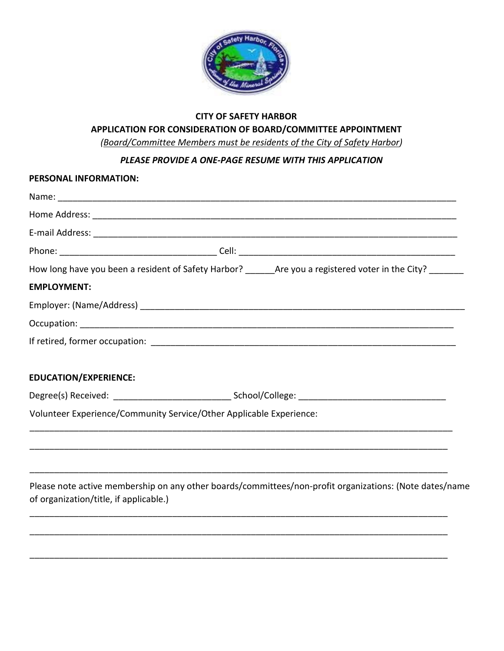

# **CITY OF SAFETY HARBOR APPLICATION FOR CONSIDERATION OF BOARD/COMMITTEE APPOINTMENT**

*(Board/Committee Members must be residents of the City of Safety Harbor)* 

*PLEASE PROVIDE A ONE-PAGE RESUME WITH THIS APPLICATION*

| PERSONAL INFORMATION:                  |                                                                                                            |
|----------------------------------------|------------------------------------------------------------------------------------------------------------|
|                                        |                                                                                                            |
|                                        |                                                                                                            |
|                                        |                                                                                                            |
|                                        |                                                                                                            |
|                                        | How long have you been a resident of Safety Harbor? _______Are you a registered voter in the City? _______ |
| <b>EMPLOYMENT:</b>                     |                                                                                                            |
|                                        |                                                                                                            |
|                                        |                                                                                                            |
|                                        |                                                                                                            |
| <b>EDUCATION/EXPERIENCE:</b>           |                                                                                                            |
|                                        | Degree(s) Received: _______________________________School/College: ________________________________        |
|                                        | Volunteer Experience/Community Service/Other Applicable Experience:                                        |
|                                        |                                                                                                            |
|                                        |                                                                                                            |
|                                        |                                                                                                            |
| of organization/title, if applicable.) | Please note active membership on any other boards/committees/non-profit organizations: (Note dates/name    |
|                                        |                                                                                                            |
|                                        |                                                                                                            |
|                                        |                                                                                                            |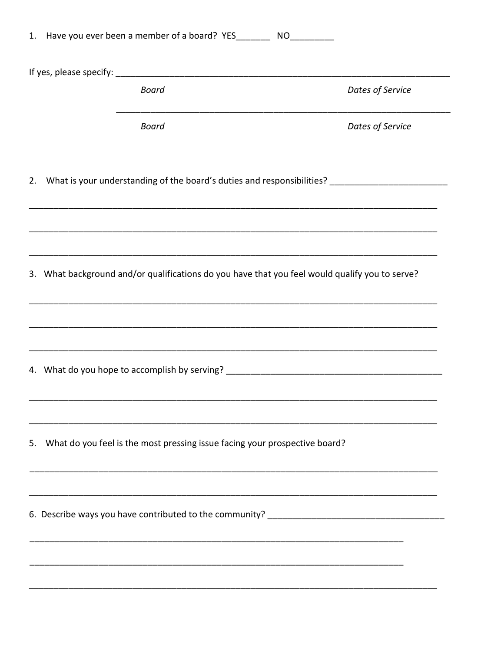| <b>Board</b><br><b>Board</b><br>2. What is your understanding of the board's duties and responsibilities? _________________________<br>3. What background and/or qualifications do you have that you feel would qualify you to serve? | Dates of Service<br><u> 1989 - Johann Barbara, martxa al III-lea</u><br>Dates of Service |
|---------------------------------------------------------------------------------------------------------------------------------------------------------------------------------------------------------------------------------------|------------------------------------------------------------------------------------------|
|                                                                                                                                                                                                                                       |                                                                                          |
|                                                                                                                                                                                                                                       |                                                                                          |
|                                                                                                                                                                                                                                       |                                                                                          |
|                                                                                                                                                                                                                                       |                                                                                          |
|                                                                                                                                                                                                                                       |                                                                                          |
|                                                                                                                                                                                                                                       |                                                                                          |
|                                                                                                                                                                                                                                       |                                                                                          |
|                                                                                                                                                                                                                                       |                                                                                          |
|                                                                                                                                                                                                                                       |                                                                                          |
| What do you feel is the most pressing issue facing your prospective board?<br>5.                                                                                                                                                      |                                                                                          |
|                                                                                                                                                                                                                                       |                                                                                          |
|                                                                                                                                                                                                                                       |                                                                                          |
|                                                                                                                                                                                                                                       |                                                                                          |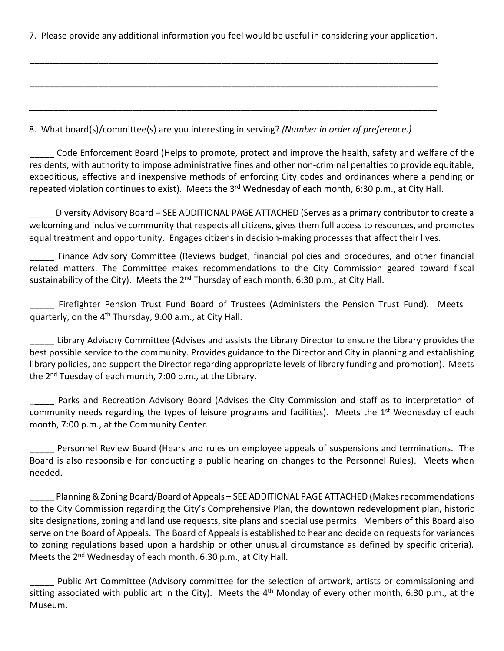7. Please provide any additional information you feel would be useful in considering your application.

\_\_\_\_\_\_\_\_\_\_\_\_\_\_\_\_\_\_\_\_\_\_\_\_\_\_\_\_\_\_\_\_\_\_\_\_\_\_\_\_\_\_\_\_\_\_\_\_\_\_\_\_\_\_\_\_\_\_\_\_\_\_\_\_\_\_\_\_\_\_\_\_\_\_\_\_\_\_\_\_\_\_\_

\_\_\_\_\_\_\_\_\_\_\_\_\_\_\_\_\_\_\_\_\_\_\_\_\_\_\_\_\_\_\_\_\_\_\_\_\_\_\_\_\_\_\_\_\_\_\_\_\_\_\_\_\_\_\_\_\_\_\_\_\_\_\_\_\_\_\_\_\_\_\_\_\_\_\_\_\_\_\_\_\_\_\_

\_\_\_\_\_\_\_\_\_\_\_\_\_\_\_\_\_\_\_\_\_\_\_\_\_\_\_\_\_\_\_\_\_\_\_\_\_\_\_\_\_\_\_\_\_\_\_\_\_\_\_\_\_\_\_\_\_\_\_\_\_\_\_\_\_\_\_\_\_\_\_\_\_\_\_\_\_\_\_\_\_\_\_

8. What board(s)/committee(s) are you interesting in serving? *(Number in order of preference.)*

\_\_\_\_\_ Code Enforcement Board (Helps to promote, protect and improve the health, safety and welfare of the residents, with authority to impose administrative fines and other non-criminal penalties to provide equitable, expeditious, effective and inexpensive methods of enforcing City codes and ordinances where a pending or repeated violation continues to exist). Meets the  $3<sup>rd</sup>$  Wednesday of each month, 6:30 p.m., at City Hall.

Diversity Advisory Board – SEE ADDITIONAL PAGE ATTACHED (Serves as a primary contributor to create a welcoming and inclusive community that respects all citizens, gives them full access to resources, and promotes equal treatment and opportunity. Engages citizens in decision-making processes that affect their lives.

Finance Advisory Committee (Reviews budget, financial policies and procedures, and other financial related matters. The Committee makes recommendations to the City Commission geared toward fiscal sustainability of the City). Meets the  $2^{nd}$  Thursday of each month, 6:30 p.m., at City Hall.

Firefighter Pension Trust Fund Board of Trustees (Administers the Pension Trust Fund). Meets quarterly, on the 4<sup>th</sup> Thursday, 9:00 a.m., at City Hall.

\_\_\_\_\_ Library Advisory Committee (Advises and assists the Library Director to ensure the Library provides the best possible service to the community. Provides guidance to the Director and City in planning and establishing library policies, and support the Director regarding appropriate levels of library funding and promotion). Meets the 2<sup>nd</sup> Tuesday of each month, 7:00 p.m., at the Library.

Parks and Recreation Advisory Board (Advises the City Commission and staff as to interpretation of community needs regarding the types of leisure programs and facilities). Meets the  $1<sup>st</sup>$  Wednesday of each month, 7:00 p.m., at the Community Center.

\_\_\_\_\_ Personnel Review Board (Hears and rules on employee appeals of suspensions and terminations. The Board is also responsible for conducting a public hearing on changes to the Personnel Rules). Meets when needed.

\_\_\_\_\_ Planning & Zoning Board/Board of Appeals – SEE ADDITIONAL PAGE ATTACHED (Makes recommendations to the City Commission regarding the City's Comprehensive Plan, the downtown redevelopment plan, historic site designations, zoning and land use requests, site plans and special use permits. Members of this Board also serve on the Board of Appeals. The Board of Appeals is established to hear and decide on requests for variances to zoning regulations based upon a hardship or other unusual circumstance as defined by specific criteria). Meets the 2<sup>nd</sup> Wednesday of each month, 6:30 p.m., at City Hall.

Public Art Committee (Advisory committee for the selection of artwork, artists or commissioning and sitting associated with public art in the City). Meets the  $4<sup>th</sup>$  Monday of every other month, 6:30 p.m., at the Museum.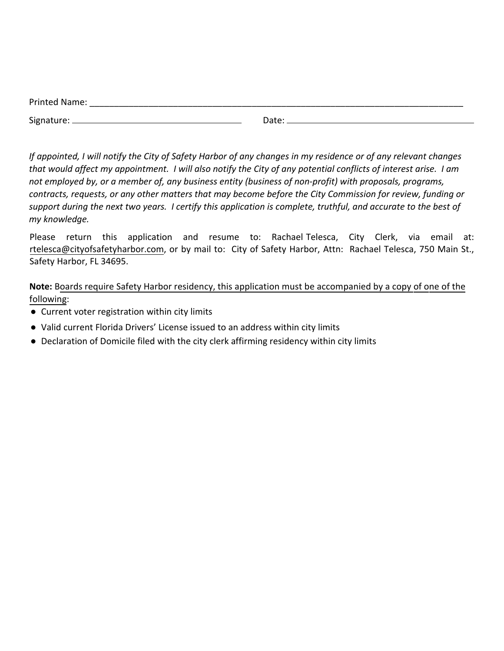| <b>Printed Name:</b> |       |  |  |
|----------------------|-------|--|--|
| Signature:           | Date: |  |  |
|                      |       |  |  |

*If appointed, I will notify the City of Safety Harbor of any changes in my residence or of any relevant changes that would affect my appointment. I will also notify the City of any potential conflicts of interest arise. I am not employed by, or a member of, any business entity (business of non-profit) with proposals, programs, contracts, requests, or any other matters that may become before the City Commission for review, funding or support during the next two years. I certify this application is complete, truthful, and accurate to the best of my knowledge.* 

Please return this application and resume to: Rachael-Telesca, City Clerk, via email at: rtelesca[@cityofsafetyharbor.com,](mailto:ksammons@cityofsafetyharobr.com) or by mail to: City of Safety Harbor, Attn: Rachael Telesca, 750 Main St., Safety Harbor, FL 34695.

**Note:** Boards require Safety Harbor residency, this application must be accompanied by a copy of one of the following:

- *●* Current voter registration within city limits
- *●* Valid current Florida Drivers' License issued to an address within city limits
- *●* Declaration of Domicile filed with the city clerk affirming residency within city limits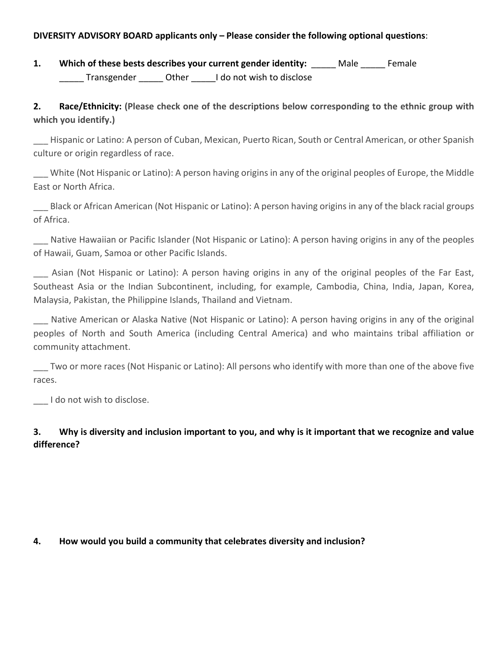#### **DIVERSITY ADVISORY BOARD applicants only – Please consider the following optional questions**:

**1. Which of these bests describes your current gender identity:** \_\_\_\_\_ Male \_\_\_\_\_ Female Transgender **Other** I do not wish to disclose

# **2. Race/Ethnicity: (Please check one of the descriptions below corresponding to the ethnic group with which you identify.)**

\_\_\_ Hispanic or Latino: A person of Cuban, Mexican, Puerto Rican, South or Central American, or other Spanish culture or origin regardless of race.

\_\_\_ White (Not Hispanic or Latino): A person having origins in any of the original peoples of Europe, the Middle East or North Africa.

\_\_\_ Black or African American (Not Hispanic or Latino): A person having origins in any of the black racial groups of Africa.

Native Hawaiian or Pacific Islander (Not Hispanic or Latino): A person having origins in any of the peoples of Hawaii, Guam, Samoa or other Pacific Islands.

\_\_\_ Asian (Not Hispanic or Latino): A person having origins in any of the original peoples of the Far East, Southeast Asia or the Indian Subcontinent, including, for example, Cambodia, China, India, Japan, Korea, Malaysia, Pakistan, the Philippine Islands, Thailand and Vietnam.

\_\_\_ Native American or Alaska Native (Not Hispanic or Latino): A person having origins in any of the original peoples of North and South America (including Central America) and who maintains tribal affiliation or community attachment.

\_\_\_ Two or more races (Not Hispanic or Latino): All persons who identify with more than one of the above five races.

\_\_\_ I do not wish to disclose.

# **3. Why is diversity and inclusion important to you, and why is it important that we recognize and value difference?**

## **4. How would you build a community that celebrates diversity and inclusion?**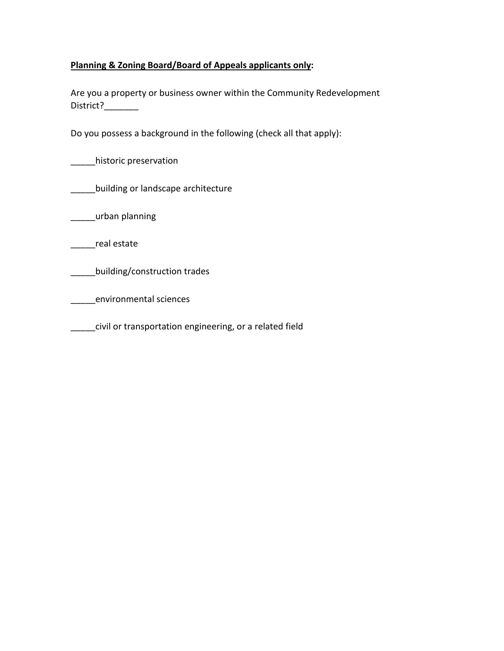## **Planning & Zoning Board/Board of Appeals applicants only:**

Are you a property or business owner within the Community Redevelopment District?\_\_\_\_\_\_\_

Do you possess a background in the following (check all that apply):

\_\_\_\_\_historic preservation

**\_\_\_\_\_building or landscape architecture** 

\_\_\_\_\_urban planning

\_\_\_\_\_real estate

\_\_\_\_\_building/construction trades

\_\_\_\_\_environmental sciences

\_\_\_\_\_civil or transportation engineering, or a related field